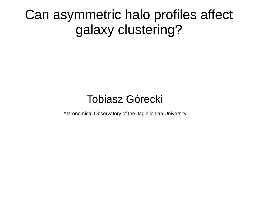Can asymmetric halo profiles affect galaxy clustering?

#### Tobiasz Górecki

Astronomical Observatory of the Jagiellonian University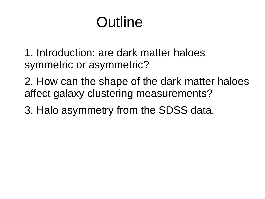# Outline

1. Introduction: are dark matter haloes symmetric or asymmetric?

2. How can the shape of the dark matter haloes affect galaxy clustering measurements?

3. Halo asymmetry from the SDSS data.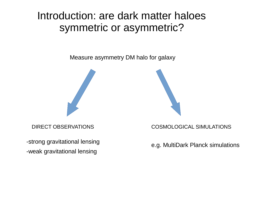#### Introduction: are dark matter haloes symmetric or asymmetric?

Measure asymmetry DM halo for galaxy





-strong gravitational lensing -weak gravitational lensing

DIRECT OBSERVATIONS COSMOLOGICAL SIMULATIONS

e.g. MultiDark Planck simulations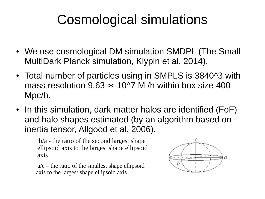- We use cosmological DM simulation SMDPL (The Small MultiDark Planck simulation, Klypin et al. 2014).
- Total number of particles using in SMPLS is 3840^3 with mass resolution  $9.63 \times 10^{17}$  M /h within box size 400 Mpc/h.
- In this simulation, dark matter halos are identified (FoF) and halo shapes estimated (by an algorithm based on inertia tensor, Allgood et al. 2006).

b/a - the ratio of the second largest shape ellipsoid axis to the largest shape ellipsoid axis

 $a/c$  – the ratio of the smallest shape ellipsoid axis to the largest shape ellipsoid axis

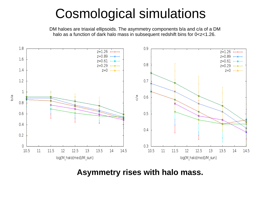DM haloes are triaxial ellipsoids. The asymmetry components b/a and c/a of a DM halo as a function of dark halo mass in subsequent redshift bins for  $0 < z < 1.26$ .



**Asymmetry rises with halo mass.**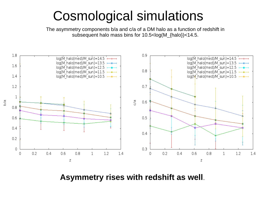The asymmetry components b/a and c/a of a DM halo as a function of redshift in subsequent halo mass bins for 10.5<log(M\_{halo})<14.5.



**Asymmetry rises with redshift as well**.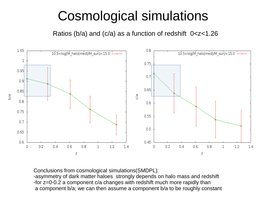Ratios (b/a) and (c/a) as a function of redshift 0<z<1.26



Conclusions from cosmological simulations(SMDPL): -asymmetry of dark matter haloes strongly depends on halo mass and redshift -for z=0-0.2 a component c/a changes with redshift much more rapidly than a component b/a; we can then assume a component b/a to be roughly constant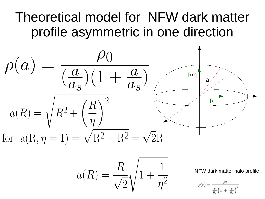### Theoretical model for NFW dark matter profile asymmetric in one direction

$$
\rho(a) = \frac{\rho_0}{\left(\frac{a}{a_s}\right)\left(1 + \frac{a}{a_s}\right)}
$$
\n
$$
a(R) = \sqrt{R^2 + \left(\frac{R}{\eta}\right)^2}
$$
\nfor  $a(R, \eta = 1) = \sqrt{R^2 + R^2} = \sqrt{2R}$ 

$$
a(R) = \frac{R}{\sqrt{2}}\sqrt{1+\frac{1}{\eta^2}}
$$

NFW dark matter halo profile

$$
\rho(r)=\frac{\rho_0}{\frac{r}{R_s}\Big(1\ +\ \frac{r}{R_s}\Big)^2}
$$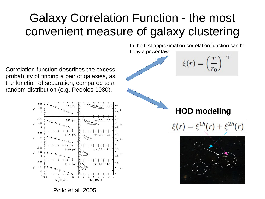#### Galaxy Correlation Function - the most convenient measure of galaxy clustering

Correlation function describes the excess probability of finding a pair of galaxies, as the function of separation, compared to a random distribution (e.g. Peebles 1980).



Pollo et al. 2005

In the first approximation correlation function can be fit by a power law



 $\xi(r) = \left(\frac{r}{r_0}\right)^{-1}$ 

$$
\xi(r)=\xi^{1h}(r)+\xi^{2h}(r)
$$

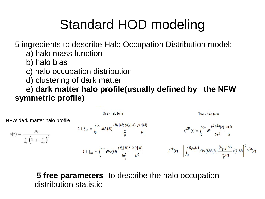## Standard HOD modeling

5 ingredients to describe Halo Occupation Distribution model:

- a) halo mass function
- b) halo bias
- c) halo occupation distribution
- d) clustering of dark matter

 e) **dark matter halo profile(usually defined by the NFW symmetric profile)**

$$
\mathsf{NFW} \text{ dark matter halo profile}
$$
\n
$$
\rho(r) = \frac{\rho_0}{\frac{r}{R_s} \left(1 + \frac{r}{R_s}\right)^2}
$$
\n
$$
1 + \xi_{\text{SS}} = \int_0^\infty dMn(M) \frac{\langle N_c | M \rangle \langle N_s | M \rangle}{\frac{N_c | M \rangle \langle N_s | M \rangle}{2n_g^2}} \frac{\rho(r|M)}{M}
$$
\n
$$
E'^{2h}(r) = \int_0^\infty dk \frac{k^2 P^{2h}(k)}{2\pi^2} \frac{\sin kr}{kr}
$$
\n
$$
E'^{2h}(r) = \int_0^\infty dk \frac{k^2 P^{2h}(k)}{2\pi^2} \frac{\sin kr}{kr}
$$
\n
$$
P^{2h}(k) = \left[\int_0^{M} \lim(r) \, dMn(M)b(M) \frac{\langle N_{\text{gal}} | M \rangle}{n_{\text{g}}'(r)} u(k|M)\right]^2 P^{\text{lin}}(k)
$$

**5 free parameters** -to describe the halo occupation distribution statistic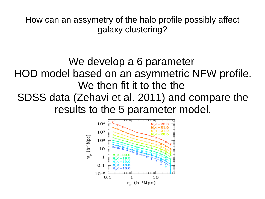How can an assymetry of the halo profile possibly affect galaxy clustering?

We develop a 6 parameter HOD model based on an asymmetric NFW profile. We then fit it to the the SDSS data (Zehavi et al. 2011) and compare the results to the 5 parameter model.

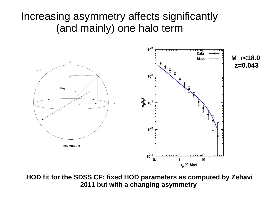#### Increasing asymmetry affects significantly (and mainly) one halo term



**HOD fit for the SDSS CF: fixed HOD parameters as computed by Zehavi 2011 but with a changing asymmetry**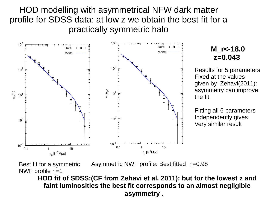HOD modelling with asymmetrical NFW dark matter profile for SDSS data: at low z we obtain the best fit for a practically symmetric halo



#### **M\_r<-18.0 z=0.043**

Results for 5 parameters Fixed at the values given by Zehavi(2011): asymmetry can improve the fit.

Fitting all 6 parameters Independently gives Very similar result

Best fit for a symmetric NWF profile η=1 Asymmetric NWF profile: Best fitted η=0.98

**HOD fit of SDSS:(CF from Zehavi et al. 2011): but for the lowest z and faint luminosities the best fit corresponds to an almost negligible asymmetry .**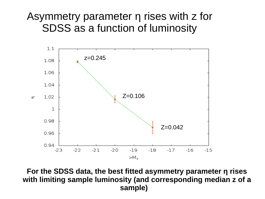#### Asymmetry parameter η rises with z for SDSS as a function of luminosity



**For the SDSS data, the best fitted asymmetry parameter η rises with limiting sample luminosity (and corresponding median z of a sample)**